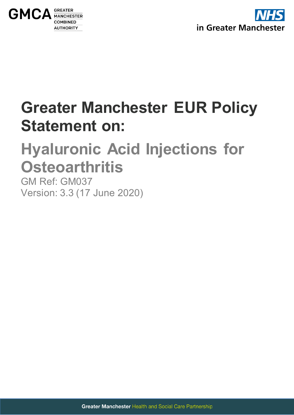



# **Greater Manchester EUR Policy Statement on:**

# <span id="page-0-0"></span>**Hyaluronic Acid Injections for Osteoarthritis**

<span id="page-0-1"></span>GM Ref: GM037 Version: 3.3 (17 June 2020)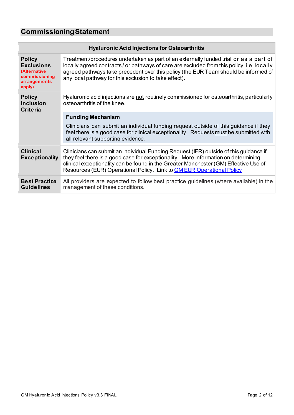# <span id="page-1-0"></span>**CommissioningStatement**

| <b>Hyaluronic Acid Injections for Osteoarthritis</b>                                          |                                                                                                                                                                                                                                                                                                                                                     |  |
|-----------------------------------------------------------------------------------------------|-----------------------------------------------------------------------------------------------------------------------------------------------------------------------------------------------------------------------------------------------------------------------------------------------------------------------------------------------------|--|
| <b>Policy</b><br><b>Exclusions</b><br>(Alternative<br>commissioning<br>arrangements<br>apply) | Treatment/procedures undertaken as part of an externally funded trial or as a part of<br>locally agreed contracts/ or pathways of care are excluded from this policy, i.e. locally<br>agreed pathways take precedent over this policy (the EUR Team should be informed of<br>any local pathway for this exclusion to take effect).                  |  |
| <b>Policy</b><br><b>Inclusion</b><br><b>Criteria</b>                                          | Hyaluronic acid injections are not routinely commissioned for osteoarthritis, particularly<br>osteoarthritis of the knee.                                                                                                                                                                                                                           |  |
|                                                                                               | <b>Funding Mechanism</b>                                                                                                                                                                                                                                                                                                                            |  |
|                                                                                               | Clinicians can submit an individual funding request outside of this guidance if they<br>feel there is a good case for clinical exceptionality. Requests must be submitted with<br>all relevant supporting evidence.                                                                                                                                 |  |
| <b>Clinical</b><br><b>Exceptionality</b>                                                      | Clinicians can submit an Individual Funding Request (IFR) outside of this guidance if<br>they feel there is a good case for exceptionality. More information on determining<br>clinical exceptionality can be found in the Greater Manchester (GM) Effective Use of<br>Resources (EUR) Operational Policy. Link to <b>GM EUR Operational Policy</b> |  |
| <b>Best Practice</b><br><b>Guidelines</b>                                                     | All providers are expected to follow best practice guidelines (where available) in the<br>management of these conditions.                                                                                                                                                                                                                           |  |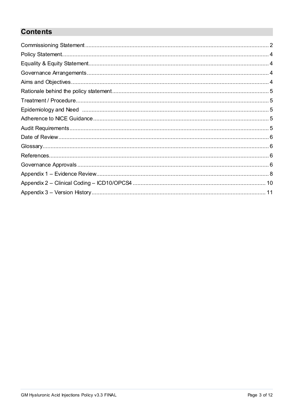# **Contents**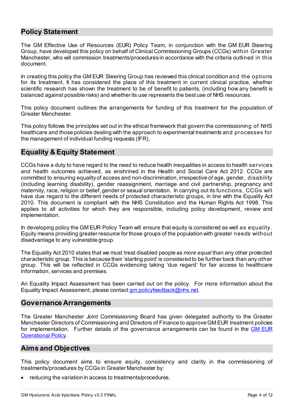# <span id="page-3-0"></span>**Policy Statement**

The GM Effective Use of Resources (EUR) Policy Team, in conjunction with the GM EUR Steering Group, have developed this policy on behalf of Clinical Commissioning Groups (CCGs) within Greater Manchester, who will commission treatments/procedures in accordance with the criteria outlined in this document.

In creating this policy the GM EUR Steering Group has reviewed this clinical condition and the options for its treatment. It has considered the place of this treatment in current clinical practice, whether scientific research has shown the treatment to be of benefit to patients, (including how any benefit is balanced against possible risks) and whether its use represents the best use of NHS resources.

This policy document outlines the arrangements for funding of this treatment for the population of Greater Manchester.

This policy follows the principles set out in the ethical framework that govern the commissioning of NHS healthcare and those policies dealing with the approach to experimental treatments and processes for the management of individual funding requests (IFR).

## <span id="page-3-1"></span>**Equality & Equity Statement**

CCGs have a duty to have regard to the need to reduce health inequalities in access to health services and health outcomes achieved, as enshrined in the Health and Social Care Act 2012. CCGs are committed to ensuring equality of access and non-discrimination, irrespective of age, gender, disability (including learning disability), gender reassignment, marriage and civil partnership, pregnancy and maternity, race, religion or belief, gender or sexual orientation. In carrying out its functions, CCGs will have due regard to the different needs of protected characteristic groups, in line with the Equality Act 2010. This document is compliant with the NHS Constitution and the Human Rights Act 1998. This applies to all activities for which they are responsible, including policy development, review and implementation.

In developing policy the GM EUR Policy Team will ensure that equity is considered as well as equality. Equity means providing greater resource for those groups of the population with greater needs without disadvantage to any vulnerable group.

The Equality Act 2010 states that we must treat disabled people as *more equal* than any other protected characteristic group. This is because their 'starting point' is considered to be further back than any other group. This will be reflected in CCGs evidencing taking 'due regard' for fair access to healthcare information, services and premises.

An Equality Impact Assessment has been carried out on the policy. For more information about the Equality Impact Assessment, please contac[t gm.policyfeedback@nhs.net](mailto:gm.policyfeedback@nhs.net).

#### <span id="page-3-2"></span>**Governance Arrangements**

The Greater Manchester Joint Commissioning Board has given delegated authority to the Greater Manchester Directors of Commissioning and Directors of Finance to approve GM EUR treatment policies for implementation. Further details of the governance arrangements can be found in the **GM EUR Operational Policy** 

### <span id="page-3-3"></span>**Aims and Objectives**

This policy document aims to ensure equity, consistency and clarity in the commissioning of treatments/procedures by CCGs in Greater Manchester by:

reducing the variation in access to treatments/procedures.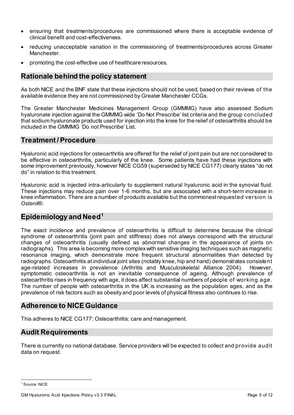- ensuring that treatments/procedures are commissioned where there is acceptable evidence of clinical benefit and cost-effectiveness.
- reducing unacceptable variation in the commissioning of treatments/procedures across Greater **Manchester**
- promoting the cost-effective use of healthcare resources.

## <span id="page-4-0"></span>**Rationale behind the policy statement**

As both NICE and the BNF state that these injections should not be used, based on their reviews of the available evidence they are not commissioned by Greater Manchester CCGs.

The Greater Manchester Medicines Management Group (GMMMG) have also assessed Sodium hyaluronate injection against the GMMMG wide 'Do Not Prescribe' list criteria and the group concluded that sodium hyaluronate products used for injection into the knee for the relief of osteoarthritis should be included in the GMMMG 'Do not Prescribe' List.

#### <span id="page-4-1"></span>**Treatment /Procedure**

Hyaluronic acid injections for osteoarthritis are offered for the relief of joint pain but are not considered to be effective in osteoarthritis, particularly of the knee. Some patients have had these injections with some improvement previously, however NICE CG59 (superseded by NICE CG177) clearly states "do not do" in relation to this treatment.

Hyaluronic acid is injected intra-articularly to supplement natural hyaluronic acid in the synovial fluid. These injections may reduce pain over 1-6 months, but are associated with a short-term increase in knee inflammation. There are a number of products available but the commonest requested version is *Ostenil*®.

### <span id="page-4-2"></span>**Epidemiology and Need[1](#page-4-5)**

The exact incidence and prevalence of osteoarthritis is difficult to determine because the clinical syndrome of osteoarthritis (joint pain and stiffness) does not always correspond with the structural changes of osteoarthritis (usually defined as abnormal changes in the appearance of joints on radiographs). This area is becoming more complex with sensitive imaging techniques such as magnetic resonance imaging, which demonstrate more frequent structural abnormalities than detected by radiographs. Osteoarthritis at individual joint sites (notably knee, hip and hand) demonstrates consistent age-related increases in prevalence (Arthritis and Musculoskeletal Alliance 2004). However, symptomatic osteoarthritis is not an inevitable consequence of ageing. Although prevalence of osteoarthritis rises in frequency with age, it does affect substantial numbers of people of working age. The number of people with osteoarthritis in the UK is increasing as the population ages, and as the prevalence of risk factors such as obesity and poor levels of physical fitness also continues to rise.

### <span id="page-4-3"></span>**Adherence to NICE Guidance**

This adheres to NICE CG177: Osteoarthritis: care and management.

### <span id="page-4-4"></span>**Audit Requirements**

There is currently no national database. Service providers will be expected to collect and provide audit data on request.

<span id="page-4-5"></span><sup>&</sup>lt;sup>1</sup> Source: NICE

GM Hyaluronic Acid Injections Policy v3.3 FINAL **Page 5 of 12** and 2011 12 and 2012 12 and 2012 12 and 2012 12 and 2012 12 and 2012 12 and 2012 12 and 2012 12 and 2012 12 and 2012 12 and 2012 12 and 2012 12 and 2012 12 and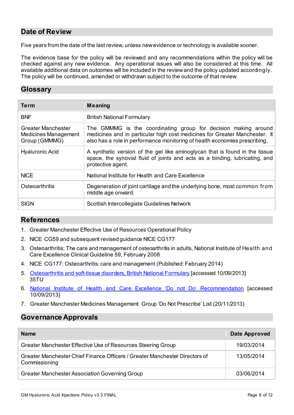# <span id="page-5-0"></span>**Date of Review**

Five years from the date of the last review, unless new evidence or technology is available sooner.

The evidence base for the policy will be reviewed and any recommendations within the policy will be checked against any new evidence. Any operational issues will also be considered at this time. All available additional data on outcomes will be included in the review and the policy updated accordingly. The policy will be continued, amended or withdrawn subject to the outcome of that review.

## <span id="page-5-1"></span>**Glossary**

| <b>Term</b>                                                 | Meaning                                                                                                                                                                                                                    |
|-------------------------------------------------------------|----------------------------------------------------------------------------------------------------------------------------------------------------------------------------------------------------------------------------|
| <b>BNF</b>                                                  | <b>British National Formulary</b>                                                                                                                                                                                          |
| Greater Manchester<br>Medicines Management<br>Group (GMMMG) | The GMMMG is the coordinating group for decision making around<br>medicines and in particular high cost medicines for Greater Manchester. It<br>also has a role in performance monitoring of health economies prescribing. |
| <b>Hyaluronic Acid</b>                                      | A synthetic version of the gel like aminoglycan that is found in the tissue<br>space, the synovial fluid of joints and acts as a binding, lubricating, and<br>protective agent.                                            |
| <b>NICE</b>                                                 | National Institute for Health and Care Excellence                                                                                                                                                                          |
| <b>Osteoarthritis</b>                                       | Degeneration of joint cartilage and the underlying bone, most common from<br>middle age onward.                                                                                                                            |
| <b>SIGN</b>                                                 | Scottish Intercollegiate Guidelines Network                                                                                                                                                                                |

### <span id="page-5-2"></span>**References**

- 1. Greater Manchester Effective Use of Resources Operational Policy
- 2. NICE CG59 and subsequent revised guidance NICE CG177
- 3. Osteoarthritis: The care and management of osteoarthritis in adults, National Institute of Health and Care Excellence Clinical Guideline 59, February 2008
- 4. NICE CG177: Osteoarthritis: care and management (Published: February 2014)
- 5. [Osteoarthritis and soft-tissue disorders, British National Formulary](https://www.evidence.nhs.uk/formulary/bnf/current/10-musculoskeletal-and-joint-diseases/101-drugs-used-in-rheumatic-diseases-and-gout/osteoarthritis-and-soft-tissue-disorders) [accessed 10/09/2013] [35TU](https://www.evidence.nhs.uk/formulary/bnf/current/10-musculoskeletal-and-joint-diseases/101-drugs-used-in-rheumatic-diseases-and-gout/osteoarthritis-and-soft-tissue-disorders)
- 6. [National Institute of Health and Care Excellence 'Do not Do' Recommendation](https://www.nice.org.uk/donotdo/do-not-offer-intraarticular-hyaluronan-injections-for-the-management-of-osteoarthritis) [accessed 10/09/2013]
- 7. Greater Manchester Medicines Management Group 'Do Not Prescribe' List (20/11/2013)

# <span id="page-5-3"></span>**Governance Approvals**

| <b>Name</b>                                                                                  | Date Approved |
|----------------------------------------------------------------------------------------------|---------------|
| Greater Manchester Effective Use of Resources Steering Group                                 | 19/03/2014    |
| Greater Manchester Chief Finance Officers / Greater Manchester Directors of<br>Commissioning | 13/05/2014    |
| Greater Manchester Association Governing Group                                               | 03/06/2014    |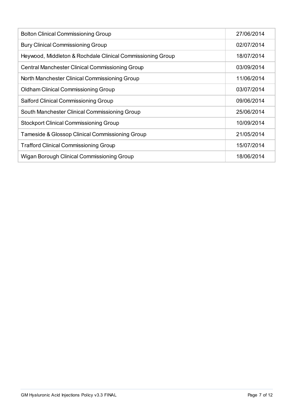| <b>Bolton Clinical Commissioning Group</b>                 | 27/06/2014 |
|------------------------------------------------------------|------------|
| <b>Bury Clinical Commissioning Group</b>                   | 02/07/2014 |
| Heywood, Middleton & Rochdale Clinical Commissioning Group | 18/07/2014 |
| <b>Central Manchester Clinical Commissioning Group</b>     | 03/09/2014 |
| North Manchester Clinical Commissioning Group              | 11/06/2014 |
| Oldham Clinical Commissioning Group                        | 03/07/2014 |
| <b>Salford Clinical Commissioning Group</b>                | 09/06/2014 |
| South Manchester Clinical Commissioning Group              | 25/06/2014 |
| <b>Stockport Clinical Commissioning Group</b>              | 10/09/2014 |
| Tameside & Glossop Clinical Commissioning Group            | 21/05/2014 |
| <b>Trafford Clinical Commissioning Group</b>               | 15/07/2014 |
| Wigan Borough Clinical Commissioning Group                 | 18/06/2014 |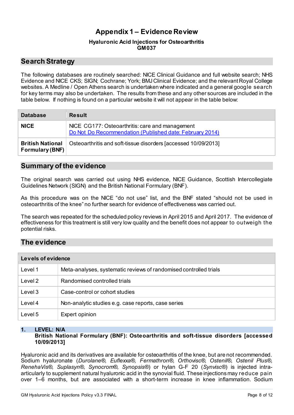# **Appendix 1 – Evidence Review**

#### **[Hyaluronic Acid Injections for Osteoarthritis](#page-0-0) [GM037](#page-0-1)**

# <span id="page-7-0"></span>**Search Strategy**

The following databases are routinely searched: NICE Clinical Guidance and full website search; NHS Evidence and NICE CKS; SIGN; Cochrane; York; BMJ Clinical Evidence; and the relevant Royal College websites. A Medline / Open Athens search is undertaken where indicated and a general google search for key terms may also be undertaken. The results from these and any other sources are included in the table below. If nothing is found on a particular website it will not appear in the table below:

| <b>Database</b>                            | <b>Result</b>                                                                                               |
|--------------------------------------------|-------------------------------------------------------------------------------------------------------------|
| <b>NICE</b>                                | NICE CG177: Osteoarthritis: care and management<br>Do Not Do Recommendation (Published date: February 2014) |
| <b>British National</b><br>Formulary (BNF) | Osteoarthritis and soft-tissue disorders [accessed 10/09/2013]                                              |

## **Summary of the evidence**

The original search was carried out using NHS evidence, NICE Guidance, Scottish Intercollegiate Guidelines Network (SIGN) and the British National Formulary (BNF).

As this procedure was on the NICE "do not use" list, and the BNF stated "should not be used in osteoarthritis of the knee" no further search for evidence of effectiveness was carried out.

The search was repeated for the scheduled policy reviews in April 2015 and April 2017. The evidence of effectiveness for this treatment is still very low quality and the benefit does not appear to outweigh the potential risks.

# **The evidence**

| Levels of evidence |                                                                   |  |
|--------------------|-------------------------------------------------------------------|--|
| Level 1            | Meta-analyses, systematic reviews of randomised controlled trials |  |
| Level 2            | Randomised controlled trials                                      |  |
| Level 3            | Case-control or cohort studies                                    |  |
| Level 4            | Non-analytic studies e.g. case reports, case series               |  |
| Level 5            | Expert opinion                                                    |  |

# **1. LEVEL: N/A**

**British National Formulary (BNF): Osteoarthritis and soft-tissue disorders [accessed 10/09/2013]**

Hyaluronic acid and its derivatives are available for osteoarthritis of the knee, but are not recommended. Sodium hyaluronate (*Durolane®, Euflexxa®, Fermathron®, Orthovisc®, Ostenil®, Ostenil Plus®, RenehaVis®, Suplasyn®, Synocrom®, Synopsis®*) or hylan G-F 20 (*Synvisc®*) is injected intraarticularly to supplement natural hyaluronic acid in the synovial fluid. These injections may reduce pain over 1–6 months, but are associated with a short-term increase in knee inflammation. Sodium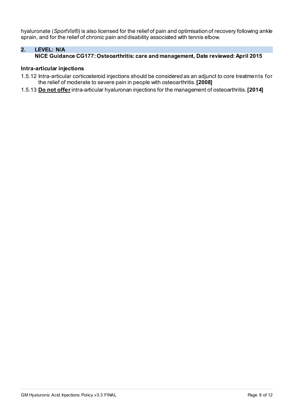hyaluronate (*SportVis®*) is also licensed for the relief of pain and optimisation of recovery following ankle sprain, and for the relief of chronic pain and disability associated with tennis elbow.

### **2. LEVEL: N/A**

#### **NICE Guidance CG177: Osteoarthritis: care and management, Date reviewed: April 2015**

#### **Intra-articular injections**

- 1.5.12 Intra-articular corticosteroid injections should be considered as an adjunct to core treatments for the relief of moderate to severe pain in people with osteoarthritis. **[2008]**
- 1.5.13 **Do not offer**intra-articular hyaluronan injections for the management of osteoarthritis. **[2014]**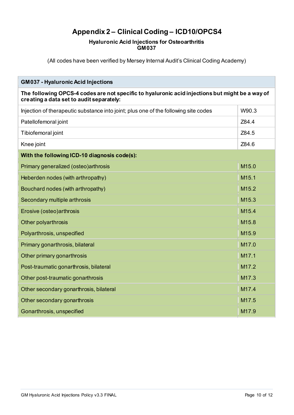# **Appendix 2 – Clinical Coding – ICD10/OPCS4**

#### **[Hyaluronic Acid Injections for Osteoarthritis](#page-0-0) [GM037](#page-0-1)**

<span id="page-9-0"></span>(All codes have been verified by Mersey Internal Audit's Clinical Coding Academy)

| <b>GM037 - Hyaluronic Acid Injections</b>                                                                                                   |                   |  |
|---------------------------------------------------------------------------------------------------------------------------------------------|-------------------|--|
| The following OPCS-4 codes are not specific to hyaluronic acid injections but might be a way of<br>creating a data set to audit separately: |                   |  |
| Injection of therapeutic substance into joint; plus one of the following site codes                                                         | W90.3             |  |
| Patellofemoral joint                                                                                                                        | Z84.4             |  |
| Tibiofemoral joint                                                                                                                          | Z84.5             |  |
| Knee joint                                                                                                                                  | Z84.6             |  |
| With the following ICD-10 diagnosis code(s):                                                                                                |                   |  |
| Primary generalized (osteo) arthrosis                                                                                                       | M <sub>15.0</sub> |  |
| Heberden nodes (with arthropathy)                                                                                                           | M <sub>15.1</sub> |  |
| Bouchard nodes (with arthropathy)                                                                                                           | M <sub>15.2</sub> |  |
| Secondary multiple arthrosis                                                                                                                | M <sub>15.3</sub> |  |
| Erosive (osteo) arthrosis                                                                                                                   | M <sub>15.4</sub> |  |
| <b>Other polyarthrosis</b>                                                                                                                  | M <sub>15.8</sub> |  |
| Polyarthrosis, unspecified                                                                                                                  | M <sub>15.9</sub> |  |
| Primary gonarthrosis, bilateral                                                                                                             | M <sub>17.0</sub> |  |
| Other primary gonarthrosis                                                                                                                  | M <sub>17.1</sub> |  |
| Post-traumatic gonarthrosis, bilateral                                                                                                      | M <sub>17.2</sub> |  |
| Other post-traumatic gonarthrosis                                                                                                           | M17.3             |  |
| Other secondary gonarthrosis, bilateral                                                                                                     | M <sub>17.4</sub> |  |
| Other secondary gonarthrosis                                                                                                                | M <sub>17.5</sub> |  |
| Gonarthrosis, unspecified                                                                                                                   | M <sub>17.9</sub> |  |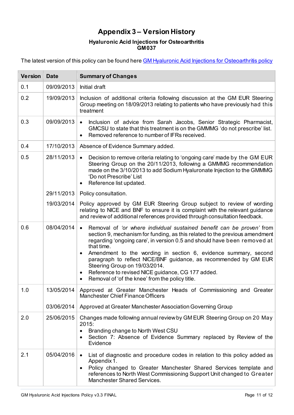# **Appendix 3 – Version History**

#### **[Hyaluronic Acid Injections for Osteoarthritis](#page-0-0) [GM037](#page-0-1)**

<span id="page-10-0"></span>The latest version of this policy can be found here **GM Hyaluronic Acid Injections for Osteoarthritis policy** 

| <b>Version</b> | <b>Date</b> | <b>Summary of Changes</b>                                                                                                                                                                                                                                                                                                                                                                                                                                                                                                                                                          |
|----------------|-------------|------------------------------------------------------------------------------------------------------------------------------------------------------------------------------------------------------------------------------------------------------------------------------------------------------------------------------------------------------------------------------------------------------------------------------------------------------------------------------------------------------------------------------------------------------------------------------------|
| 0.1            | 09/09/2013  | Initial draft                                                                                                                                                                                                                                                                                                                                                                                                                                                                                                                                                                      |
| 0.2            | 19/09/2013  | Inclusion of additional criteria following discussion at the GM EUR Steering<br>Group meeting on 18/09/2013 relating to patients who have previously had this<br>treatment                                                                                                                                                                                                                                                                                                                                                                                                         |
| 0.3            | 09/09/2013  | Inclusion of advice from Sarah Jacobs, Senior Strategic Pharmacist,<br>$\bullet$<br>GMCSU to state that this treatment is on the GMMMG 'do not prescribe' list.<br>Removed reference to number of IFRs received.<br>$\bullet$                                                                                                                                                                                                                                                                                                                                                      |
| 0.4            | 17/10/2013  | Absence of Evidence Summary added.                                                                                                                                                                                                                                                                                                                                                                                                                                                                                                                                                 |
| 0.5            | 28/11/2013  | Decision to remove criteria relating to 'ongoing care' made by the GM EUR<br>$\bullet$<br>Steering Group on the 20/11/2013, following a GMMMG recommendation<br>made on the 3/10/2013 to add Sodium Hyaluronate Injection to the GMMMG<br>'Do not Prescribe' List<br>Reference list updated.<br>٠                                                                                                                                                                                                                                                                                  |
|                | 29/11/2013  | Policy consultation.                                                                                                                                                                                                                                                                                                                                                                                                                                                                                                                                                               |
|                | 19/03/2014  | Policy approved by GM EUR Steering Group subject to review of wording<br>relating to NICE and BNF to ensure it is complaint with the relevant guidance<br>and review of additional references provided through consultation feedback.                                                                                                                                                                                                                                                                                                                                              |
| 0.6            | 08/04/2014  | Removal of 'or where individual sustained benefit can be proven' from<br>$\bullet$<br>section 9, mechanism for funding, as this related to the previous amendment<br>regarding 'ongoing care', in version 0.5 and should have been removed at<br>that time.<br>Amendment to the wording in section 6, evidence summary, second<br>$\bullet$<br>paragraph to reflect NICE/BNF guidance, as recommended by GM EUR<br>Steering Group on 19/03/2014.<br>Reference to revised NICE guidance, CG 177 added.<br>$\bullet$<br>Removal of 'of the knee' from the policy title.<br>$\bullet$ |
| 1.0            |             | 13/05/2014 Approved at Greater Manchester Heads of Commissioning and Greater<br><b>Manchester Chief Finance Officers</b>                                                                                                                                                                                                                                                                                                                                                                                                                                                           |
|                | 03/06/2014  | Approved at Greater Manchester Association Governing Group                                                                                                                                                                                                                                                                                                                                                                                                                                                                                                                         |
| 2.0            | 25/06/2015  | Changes made following annual review by GM EUR Steering Group on 20 May<br>2015:<br>Branding change to North West CSU<br>$\bullet$<br>Section 7: Absence of Evidence Summary replaced by Review of the<br>$\bullet$<br>Evidence                                                                                                                                                                                                                                                                                                                                                    |
| 2.1            | 05/04/2016  | List of diagnostic and procedure codes in relation to this policy added as<br>$\bullet$<br>Appendix 1.<br>Policy changed to Greater Manchester Shared Services template and<br>$\bullet$<br>references to North West Commissioning Support Unit changed to Greater<br><b>Manchester Shared Services.</b>                                                                                                                                                                                                                                                                           |